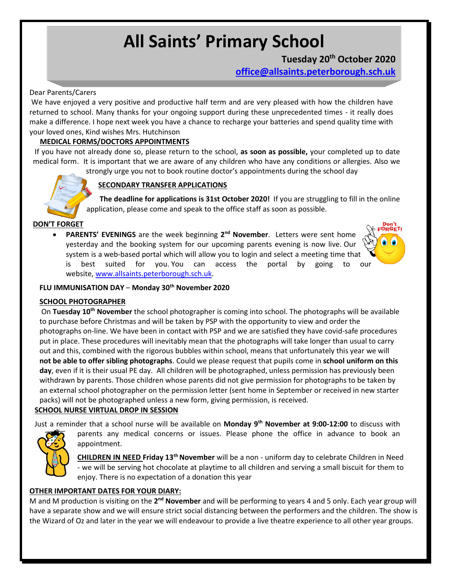# **All Saints' Primary School**

## **Tuesday 20th October 2020**

**[office@allsaints.peterborough.sch.uk](mailto:office@allsaints.peterborough.sch.uk)**

#### Dear Parents/Carers

We have enjoyed a very positive and productive half term and are very pleased with how the children have returned to school. Many thanks for your ongoing support during these unprecedented times - it really does make a difference. I hope next week you have a chance to recharge your batteries and spend quality time with your loved ones, Kind wishes Mrs. Hutchinson

#### **MEDICAL FORMS/DOCTORS APPOINTMENTS**

If you have not already done so, please return to the school, **as soon as possible,** your completed up to date medical form. It is important that we are aware of any children who have any conditions or allergies. Also we

strongly urge you not to book routine doctor's appointments during the school day

### **SECONDARY TRANSFER APPLICATIONS**

**The deadline for applications is 31st October 2020!** If you are struggling to fill in the online application, please come and speak to the office staff as soon as possible.

#### **DON'T FORGET**

**•** PARENTS' EVENINGS are the week beginning 2<sup>nd</sup> November. Letters were sent home yesterday and the booking system for our upcoming parents evening is now live. Our system is a web-based portal which will allow you to login and select a meeting time that is best suited for you. You can access the portal by going to our website, [www.allsaints.peterborough.sch.uk.](http://www.allsaints.peterborough.sch.uk/)



#### **FLU IMMUNISATION DAY** – **Monday 30th November 2020**

#### **SCHOOL PHOTOGRAPHER**

On **Tuesday 10th November** the school photographer is coming into school. The photographs will be available to purchase before Christmas and will be taken by PSP with the opportunity to view and order the photographs on-line. We have been in contact with PSP and we are satisfied they have covid-safe procedures put in place. These procedures will inevitably mean that the photographs will take longer than usual to carry out and this, combined with the rigorous bubbles within school, means that unfortunately this year we will **not be able to offer sibling photographs**. Could we please request that pupils come in **school uniform on this day**, even if it is their usual PE day. All children will be photographed, unless permission has previously been withdrawn by parents. Those children whose parents did not give permission for photographs to be taken by an external school photographer on the permission letter (sent home in September or received in new starter packs) will not be photographed unless a new form, giving permission, is received.

#### **SCHOOL NURSE VIRTUAL DROP IN SESSION**

Just a reminder that a school nurse will be available on **Monday 9th November at 9:00-12:00** to discuss with



parents any medical concerns or issues. Please phone the office in advance to book an appointment.

**CHILDREN IN NEED Friday 13thNovember** will be a non - uniform day to celebrate Children in Need - we will be serving hot chocolate at playtime to all children and serving a small biscuit for them to enjoy. There is no expectation of a donation this year

#### **OTHER IMPORTANT DATES FOR YOUR DIARY:**

M and M production is visiting on the 2<sup>nd</sup> November and will be performing to years 4 and 5 only. Each year group will have a separate show and we will ensure strict social distancing between the performers and the children. The show is the Wizard of Oz and later in the year we will endeavour to provide a live theatre experience to all other year groups.